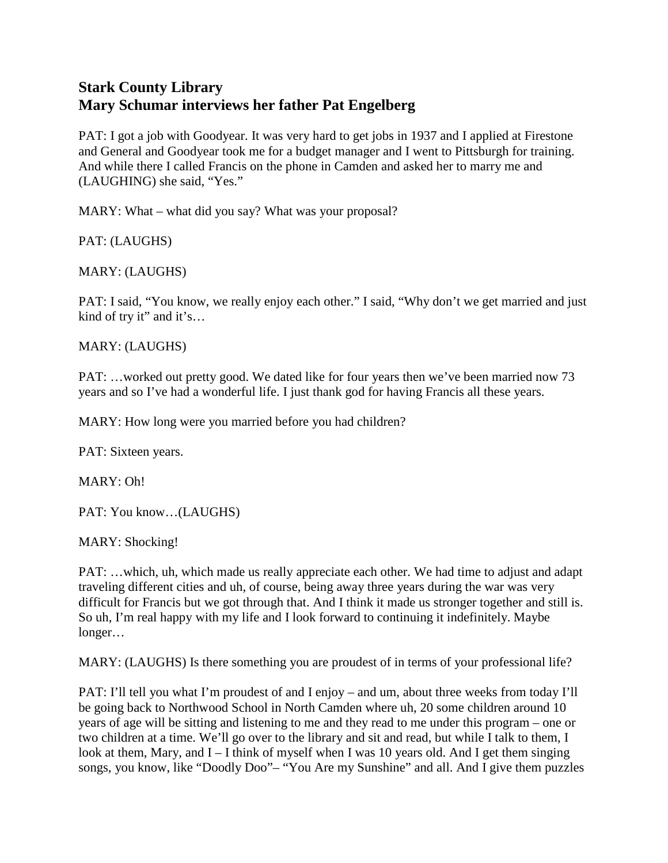## **Stark County Library Mary Schumar interviews her father Pat Engelberg**

PAT: I got a job with Goodyear. It was very hard to get jobs in 1937 and I applied at Firestone and General and Goodyear took me for a budget manager and I went to Pittsburgh for training. And while there I called Francis on the phone in Camden and asked her to marry me and (LAUGHING) she said, "Yes."

MARY: What – what did you say? What was your proposal?

PAT: (LAUGHS)

MARY: (LAUGHS)

PAT: I said, "You know, we really enjoy each other." I said, "Why don't we get married and just kind of try it" and it's…

MARY: (LAUGHS)

PAT: …worked out pretty good. We dated like for four years then we've been married now 73 years and so I've had a wonderful life. I just thank god for having Francis all these years.

MARY: How long were you married before you had children?

PAT: Sixteen years.

MARY: Oh!

PAT: You know…(LAUGHS)

MARY: Shocking!

PAT: …which, uh, which made us really appreciate each other. We had time to adjust and adapt traveling different cities and uh, of course, being away three years during the war was very difficult for Francis but we got through that. And I think it made us stronger together and still is. So uh, I'm real happy with my life and I look forward to continuing it indefinitely. Maybe longer…

MARY: (LAUGHS) Is there something you are proudest of in terms of your professional life?

PAT: I'll tell you what I'm proudest of and I enjoy – and um, about three weeks from today I'll be going back to Northwood School in North Camden where uh, 20 some children around 10 years of age will be sitting and listening to me and they read to me under this program – one or two children at a time. We'll go over to the library and sit and read, but while I talk to them, I look at them, Mary, and I – I think of myself when I was 10 years old. And I get them singing songs, you know, like "Doodly Doo"– "You Are my Sunshine" and all. And I give them puzzles